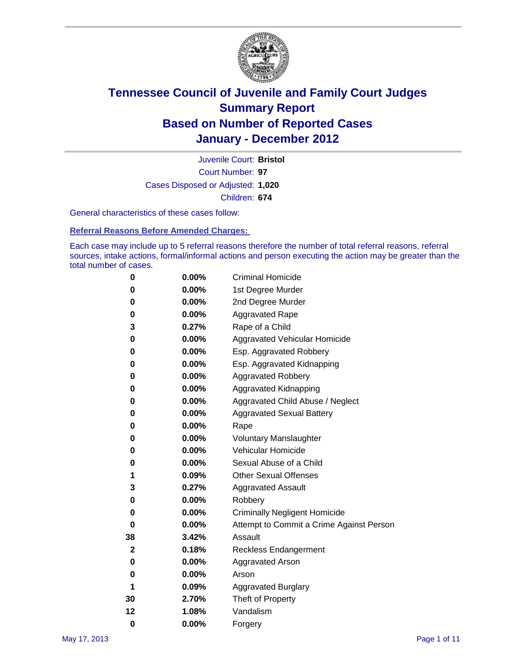

Court Number: **97** Juvenile Court: **Bristol** Cases Disposed or Adjusted: **1,020** Children: **674**

General characteristics of these cases follow:

**Referral Reasons Before Amended Charges:** 

Each case may include up to 5 referral reasons therefore the number of total referral reasons, referral sources, intake actions, formal/informal actions and person executing the action may be greater than the total number of cases.

| 0  | 0.00% | <b>Criminal Homicide</b>                 |
|----|-------|------------------------------------------|
| 0  | 0.00% | 1st Degree Murder                        |
| 0  | 0.00% | 2nd Degree Murder                        |
| 0  | 0.00% | <b>Aggravated Rape</b>                   |
| 3  | 0.27% | Rape of a Child                          |
| 0  | 0.00% | Aggravated Vehicular Homicide            |
| 0  | 0.00% | Esp. Aggravated Robbery                  |
| 0  | 0.00% | Esp. Aggravated Kidnapping               |
| 0  | 0.00% | Aggravated Robbery                       |
| 0  | 0.00% | Aggravated Kidnapping                    |
| 0  | 0.00% | Aggravated Child Abuse / Neglect         |
| 0  | 0.00% | <b>Aggravated Sexual Battery</b>         |
| 0  | 0.00% | Rape                                     |
| 0  | 0.00% | <b>Voluntary Manslaughter</b>            |
| 0  | 0.00% | Vehicular Homicide                       |
| 0  | 0.00% | Sexual Abuse of a Child                  |
| 1  | 0.09% | <b>Other Sexual Offenses</b>             |
| 3  | 0.27% | <b>Aggravated Assault</b>                |
| 0  | 0.00% | Robbery                                  |
| 0  | 0.00% | <b>Criminally Negligent Homicide</b>     |
| 0  | 0.00% | Attempt to Commit a Crime Against Person |
| 38 | 3.42% | Assault                                  |
| 2  | 0.18% | <b>Reckless Endangerment</b>             |
| 0  | 0.00% | <b>Aggravated Arson</b>                  |
| 0  | 0.00% | Arson                                    |
| 1  | 0.09% | <b>Aggravated Burglary</b>               |
| 30 | 2.70% | Theft of Property                        |
| 12 | 1.08% | Vandalism                                |
| 0  | 0.00% | Forgery                                  |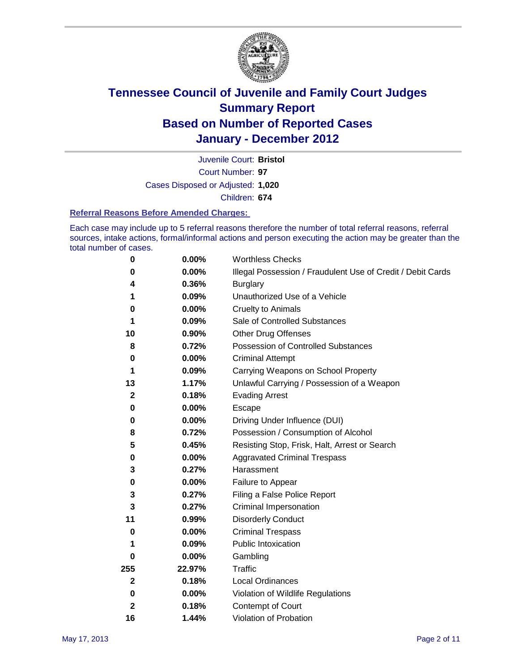

Court Number: **97** Juvenile Court: **Bristol** Cases Disposed or Adjusted: **1,020** Children: **674**

#### **Referral Reasons Before Amended Charges:**

Each case may include up to 5 referral reasons therefore the number of total referral reasons, referral sources, intake actions, formal/informal actions and person executing the action may be greater than the total number of cases.

| $\pmb{0}$    | 0.00%    | <b>Worthless Checks</b>                                     |
|--------------|----------|-------------------------------------------------------------|
| 0            | 0.00%    | Illegal Possession / Fraudulent Use of Credit / Debit Cards |
| 4            | 0.36%    | <b>Burglary</b>                                             |
| 1            | 0.09%    | Unauthorized Use of a Vehicle                               |
| 0            | $0.00\%$ | <b>Cruelty to Animals</b>                                   |
| 1            | 0.09%    | Sale of Controlled Substances                               |
| 10           | 0.90%    | <b>Other Drug Offenses</b>                                  |
| 8            | 0.72%    | Possession of Controlled Substances                         |
| 0            | $0.00\%$ | <b>Criminal Attempt</b>                                     |
| 1            | 0.09%    | Carrying Weapons on School Property                         |
| 13           | 1.17%    | Unlawful Carrying / Possession of a Weapon                  |
| $\mathbf{2}$ | 0.18%    | <b>Evading Arrest</b>                                       |
| 0            | 0.00%    | Escape                                                      |
| 0            | $0.00\%$ | Driving Under Influence (DUI)                               |
| 8            | 0.72%    | Possession / Consumption of Alcohol                         |
| 5            | 0.45%    | Resisting Stop, Frisk, Halt, Arrest or Search               |
| 0            | $0.00\%$ | <b>Aggravated Criminal Trespass</b>                         |
| 3            | 0.27%    | Harassment                                                  |
| $\pmb{0}$    | 0.00%    | Failure to Appear                                           |
| 3            | 0.27%    | Filing a False Police Report                                |
| 3            | 0.27%    | Criminal Impersonation                                      |
| 11           | 0.99%    | <b>Disorderly Conduct</b>                                   |
| 0            | $0.00\%$ | <b>Criminal Trespass</b>                                    |
| 1            | 0.09%    | Public Intoxication                                         |
| 0            | $0.00\%$ | Gambling                                                    |
| 255          | 22.97%   | <b>Traffic</b>                                              |
| $\mathbf{2}$ | 0.18%    | Local Ordinances                                            |
| 0            | $0.00\%$ | Violation of Wildlife Regulations                           |
| $\mathbf{2}$ | 0.18%    | Contempt of Court                                           |
| 16           | 1.44%    | Violation of Probation                                      |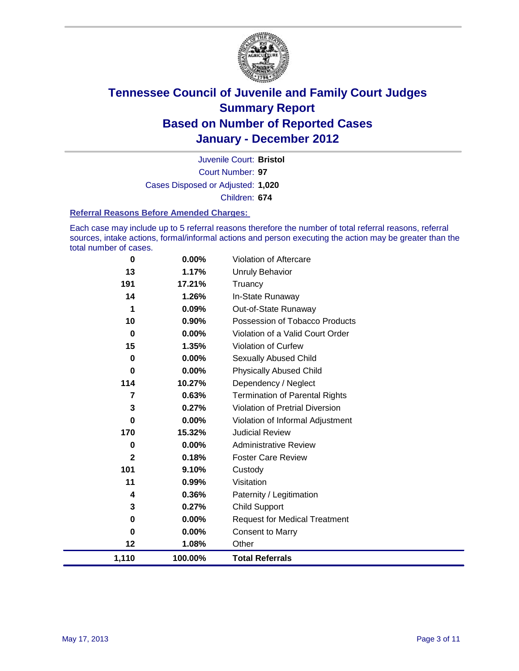

Court Number: **97** Juvenile Court: **Bristol** Cases Disposed or Adjusted: **1,020** Children: **674**

#### **Referral Reasons Before Amended Charges:**

Each case may include up to 5 referral reasons therefore the number of total referral reasons, referral sources, intake actions, formal/informal actions and person executing the action may be greater than the total number of cases.

| 0            | 0.00%    | Violation of Aftercare                 |
|--------------|----------|----------------------------------------|
| 13           | 1.17%    | <b>Unruly Behavior</b>                 |
| 191          | 17.21%   | Truancy                                |
| 14           | 1.26%    | In-State Runaway                       |
| 1            | 0.09%    | Out-of-State Runaway                   |
| 10           | 0.90%    | Possession of Tobacco Products         |
| $\mathbf 0$  | 0.00%    | Violation of a Valid Court Order       |
| 15           | 1.35%    | Violation of Curfew                    |
| 0            | 0.00%    | Sexually Abused Child                  |
| 0            | 0.00%    | <b>Physically Abused Child</b>         |
| 114          | 10.27%   | Dependency / Neglect                   |
| 7            | 0.63%    | <b>Termination of Parental Rights</b>  |
| 3            | 0.27%    | <b>Violation of Pretrial Diversion</b> |
| 0            | 0.00%    | Violation of Informal Adjustment       |
| 170          | 15.32%   | <b>Judicial Review</b>                 |
| 0            | $0.00\%$ | <b>Administrative Review</b>           |
| $\mathbf{2}$ | 0.18%    | <b>Foster Care Review</b>              |
| 101          | 9.10%    | Custody                                |
| 11           | 0.99%    | Visitation                             |
| 4            | 0.36%    | Paternity / Legitimation               |
| 3            | 0.27%    | <b>Child Support</b>                   |
| 0            | $0.00\%$ | <b>Request for Medical Treatment</b>   |
| 0            | 0.00%    | <b>Consent to Marry</b>                |
| 12           | 1.08%    | Other                                  |
| 1,110        | 100.00%  | <b>Total Referrals</b>                 |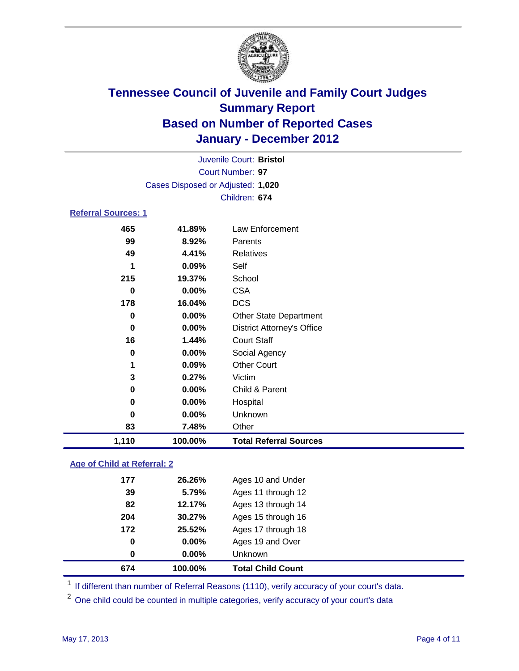

|                            | Juvenile Court: Bristol           |                                   |  |  |  |
|----------------------------|-----------------------------------|-----------------------------------|--|--|--|
|                            | Court Number: 97                  |                                   |  |  |  |
|                            | Cases Disposed or Adjusted: 1,020 |                                   |  |  |  |
|                            |                                   | Children: 674                     |  |  |  |
| <b>Referral Sources: 1</b> |                                   |                                   |  |  |  |
| 465                        | 41.89%                            | <b>Law Enforcement</b>            |  |  |  |
| 99                         | 8.92%                             | Parents                           |  |  |  |
| 49                         | 4.41%                             | <b>Relatives</b>                  |  |  |  |
| 1                          | 0.09%                             | Self                              |  |  |  |
| 215                        | 19.37%                            | School                            |  |  |  |
| $\bf{0}$                   | 0.00%                             | <b>CSA</b>                        |  |  |  |
| 178                        | 16.04%                            | <b>DCS</b>                        |  |  |  |
| 0                          | 0.00%                             | Other State Department            |  |  |  |
| 0                          | 0.00%                             | <b>District Attorney's Office</b> |  |  |  |
| 16                         | 1.44%                             | <b>Court Staff</b>                |  |  |  |
| 0                          | 0.00%                             | Social Agency                     |  |  |  |
| 1                          | 0.09%                             | <b>Other Court</b>                |  |  |  |
| 3                          | 0.27%                             | Victim                            |  |  |  |
| 0                          | 0.00%                             | Child & Parent                    |  |  |  |
| 0                          | 0.00%                             | Hospital                          |  |  |  |
| 0                          | 0.00%                             | Unknown                           |  |  |  |
| 83                         | 7.48%                             | Other                             |  |  |  |
| 1,110                      | 100.00%                           | <b>Total Referral Sources</b>     |  |  |  |
|                            |                                   |                                   |  |  |  |

### **Age of Child at Referral: 2**

| 0   | $0.00\%$ | <b>Unknown</b>     |
|-----|----------|--------------------|
|     |          |                    |
| 0   | 0.00%    | Ages 19 and Over   |
| 172 | 25.52%   | Ages 17 through 18 |
| 204 | 30.27%   | Ages 15 through 16 |
| 82  | 12.17%   | Ages 13 through 14 |
| 39  | 5.79%    | Ages 11 through 12 |
| 177 | 26.26%   | Ages 10 and Under  |
|     |          |                    |

<sup>1</sup> If different than number of Referral Reasons (1110), verify accuracy of your court's data.

<sup>2</sup> One child could be counted in multiple categories, verify accuracy of your court's data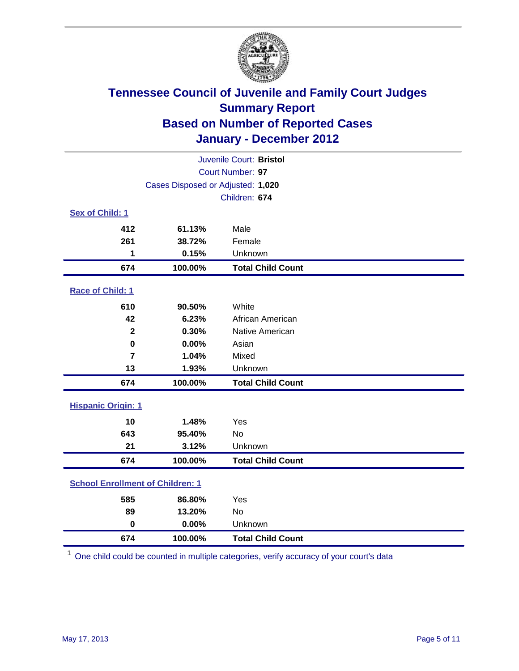

| Juvenile Court: Bristol                 |                                   |                          |  |  |
|-----------------------------------------|-----------------------------------|--------------------------|--|--|
|                                         | Court Number: 97                  |                          |  |  |
|                                         | Cases Disposed or Adjusted: 1,020 |                          |  |  |
|                                         |                                   | Children: 674            |  |  |
| Sex of Child: 1                         |                                   |                          |  |  |
| 412                                     | 61.13%                            | Male                     |  |  |
| 261                                     | 38.72%                            | Female                   |  |  |
| 1                                       | 0.15%                             | Unknown                  |  |  |
| 674                                     | 100.00%                           | <b>Total Child Count</b> |  |  |
| Race of Child: 1                        |                                   |                          |  |  |
| 610                                     | 90.50%                            | White                    |  |  |
| 42                                      | 6.23%                             | African American         |  |  |
| $\overline{2}$                          | 0.30%                             | Native American          |  |  |
| $\mathbf 0$                             | 0.00%                             | Asian                    |  |  |
| $\overline{7}$                          | 1.04%                             | Mixed                    |  |  |
| 13                                      | 1.93%                             | Unknown                  |  |  |
| 674                                     | 100.00%                           | <b>Total Child Count</b> |  |  |
| <b>Hispanic Origin: 1</b>               |                                   |                          |  |  |
| 10                                      | 1.48%                             | Yes                      |  |  |
| 643                                     | 95.40%                            | No                       |  |  |
| 21                                      | 3.12%                             | Unknown                  |  |  |
| 674                                     | 100.00%                           | <b>Total Child Count</b> |  |  |
| <b>School Enrollment of Children: 1</b> |                                   |                          |  |  |
| 585                                     | 86.80%                            | Yes                      |  |  |
| 89                                      | 13.20%                            | No                       |  |  |
| $\mathbf 0$                             | 0.00%                             | Unknown                  |  |  |
| 674                                     | 100.00%                           | <b>Total Child Count</b> |  |  |

One child could be counted in multiple categories, verify accuracy of your court's data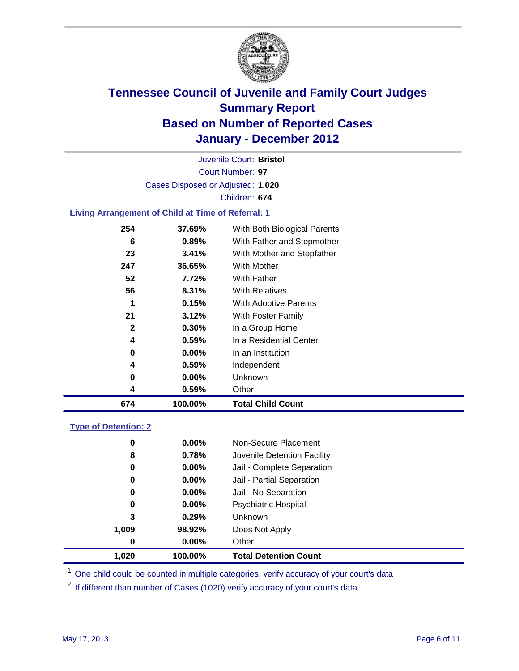

Court Number: **97** Juvenile Court: **Bristol** Cases Disposed or Adjusted: **1,020** Children: **674**

### **Living Arrangement of Child at Time of Referral: 1**

| 674          | 100.00%  | <b>Total Child Count</b>     |
|--------------|----------|------------------------------|
| 4            | 0.59%    | Other                        |
| 0            | $0.00\%$ | Unknown                      |
| 4            | 0.59%    | Independent                  |
| 0            | $0.00\%$ | In an Institution            |
| 4            | 0.59%    | In a Residential Center      |
| $\mathbf{2}$ | 0.30%    | In a Group Home              |
| 21           | 3.12%    | With Foster Family           |
| 1            | 0.15%    | With Adoptive Parents        |
| 56           | 8.31%    | <b>With Relatives</b>        |
| 52           | 7.72%    | <b>With Father</b>           |
| 247          | 36.65%   | With Mother                  |
| 23           | 3.41%    | With Mother and Stepfather   |
| 6            | 0.89%    | With Father and Stepmother   |
| 254          | 37.69%   | With Both Biological Parents |
|              |          |                              |

### **Type of Detention: 2**

| 1.020 | 100.00%  | <b>Total Detention Count</b> |  |
|-------|----------|------------------------------|--|
| 0     | $0.00\%$ | Other                        |  |
| 1,009 | 98.92%   | Does Not Apply               |  |
| 3     | 0.29%    | <b>Unknown</b>               |  |
| 0     | $0.00\%$ | <b>Psychiatric Hospital</b>  |  |
| 0     | 0.00%    | Jail - No Separation         |  |
| 0     | $0.00\%$ | Jail - Partial Separation    |  |
| 0     | $0.00\%$ | Jail - Complete Separation   |  |
| 8     | 0.78%    | Juvenile Detention Facility  |  |
| 0     | $0.00\%$ | Non-Secure Placement         |  |
|       |          |                              |  |

<sup>1</sup> One child could be counted in multiple categories, verify accuracy of your court's data

<sup>2</sup> If different than number of Cases (1020) verify accuracy of your court's data.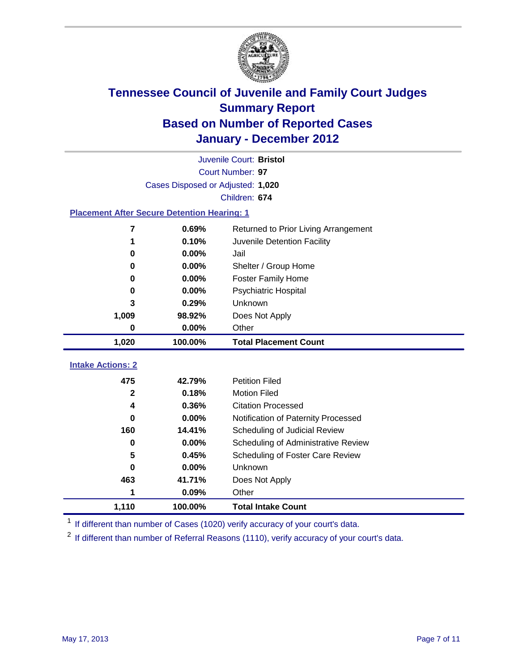

|                                                    | Juvenile Court: Bristol           |                                      |  |  |  |
|----------------------------------------------------|-----------------------------------|--------------------------------------|--|--|--|
|                                                    | Court Number: 97                  |                                      |  |  |  |
|                                                    | Cases Disposed or Adjusted: 1,020 |                                      |  |  |  |
|                                                    |                                   | Children: 674                        |  |  |  |
| <b>Placement After Secure Detention Hearing: 1</b> |                                   |                                      |  |  |  |
| 7                                                  | 0.69%                             | Returned to Prior Living Arrangement |  |  |  |
| 1                                                  | 0.10%                             | Juvenile Detention Facility          |  |  |  |
| 0                                                  | 0.00%                             | Jail                                 |  |  |  |
| 0                                                  | $0.00\%$                          | Shelter / Group Home                 |  |  |  |
| 0                                                  | 0.00%                             | <b>Foster Family Home</b>            |  |  |  |
| 0                                                  | 0.00%                             | Psychiatric Hospital                 |  |  |  |
| 3                                                  | 0.29%                             | Unknown                              |  |  |  |
| 1,009                                              | 98.92%                            | Does Not Apply                       |  |  |  |
| 0                                                  | 0.00%                             | Other                                |  |  |  |
| 1,020                                              | 100.00%                           | <b>Total Placement Count</b>         |  |  |  |
|                                                    |                                   |                                      |  |  |  |
| <b>Intake Actions: 2</b>                           |                                   |                                      |  |  |  |
| 475                                                | 42.79%                            | <b>Petition Filed</b>                |  |  |  |
| $\mathbf{2}$                                       | 0.18%                             | <b>Motion Filed</b>                  |  |  |  |
| 4                                                  | 0.36%                             | <b>Citation Processed</b>            |  |  |  |
| 0                                                  | 0.00%                             | Notification of Paternity Processed  |  |  |  |
| 160                                                | 14.41%                            | Scheduling of Judicial Review        |  |  |  |
| 0                                                  | 0.00%                             | Scheduling of Administrative Review  |  |  |  |
| 5                                                  | 0.45%                             | Scheduling of Foster Care Review     |  |  |  |
| 0                                                  | 0.00%                             | Unknown                              |  |  |  |
| 463                                                | 41.71%                            | Does Not Apply                       |  |  |  |
|                                                    | 0.09%                             | Other                                |  |  |  |
| 1,110                                              | 100.00%                           | <b>Total Intake Count</b>            |  |  |  |

<sup>1</sup> If different than number of Cases (1020) verify accuracy of your court's data.

<sup>2</sup> If different than number of Referral Reasons (1110), verify accuracy of your court's data.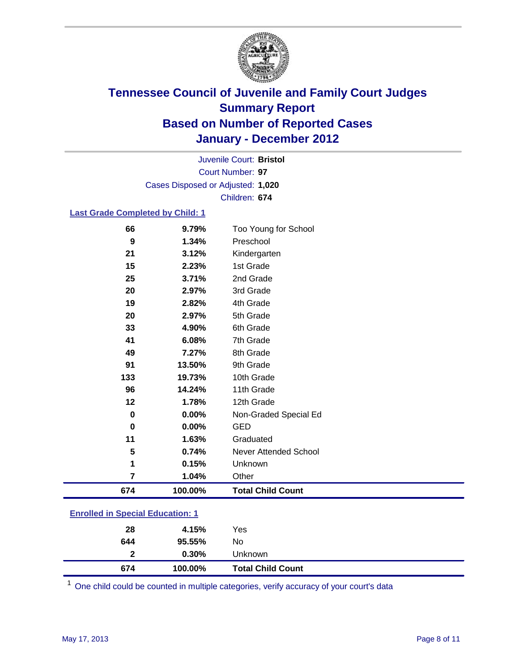

Court Number: **97** Juvenile Court: **Bristol** Cases Disposed or Adjusted: **1,020** Children: **674**

### **Last Grade Completed by Child: 1**

| 66                                      | 9.79%   | Too Young for School         |  |
|-----------------------------------------|---------|------------------------------|--|
| 9                                       | 1.34%   | Preschool                    |  |
| 21                                      | 3.12%   | Kindergarten                 |  |
| 15                                      | 2.23%   | 1st Grade                    |  |
| 25                                      | 3.71%   | 2nd Grade                    |  |
| 20                                      | 2.97%   | 3rd Grade                    |  |
| 19                                      | 2.82%   | 4th Grade                    |  |
| 20                                      | 2.97%   | 5th Grade                    |  |
| 33                                      | 4.90%   | 6th Grade                    |  |
| 41                                      | 6.08%   | 7th Grade                    |  |
| 49                                      | 7.27%   | 8th Grade                    |  |
| 91                                      | 13.50%  | 9th Grade                    |  |
| 133                                     | 19.73%  | 10th Grade                   |  |
| 96                                      | 14.24%  | 11th Grade                   |  |
| 12                                      | 1.78%   | 12th Grade                   |  |
| $\bf{0}$                                | 0.00%   | Non-Graded Special Ed        |  |
| 0                                       | 0.00%   | <b>GED</b>                   |  |
| 11                                      | 1.63%   | Graduated                    |  |
| 5                                       | 0.74%   | <b>Never Attended School</b> |  |
| 1                                       | 0.15%   | Unknown                      |  |
| $\overline{7}$                          | 1.04%   | Other                        |  |
| 674                                     | 100.00% | <b>Total Child Count</b>     |  |
| <b>Enrolled in Special Education: 1</b> |         |                              |  |

| 674          | 100.00% | <b>Total Child Count</b> |  |
|--------------|---------|--------------------------|--|
| $\mathbf{2}$ | 0.30%   | Unknown                  |  |
| 644          | 95.55%  | No.                      |  |
| 28           | 4.15%   | Yes                      |  |
|              |         |                          |  |

One child could be counted in multiple categories, verify accuracy of your court's data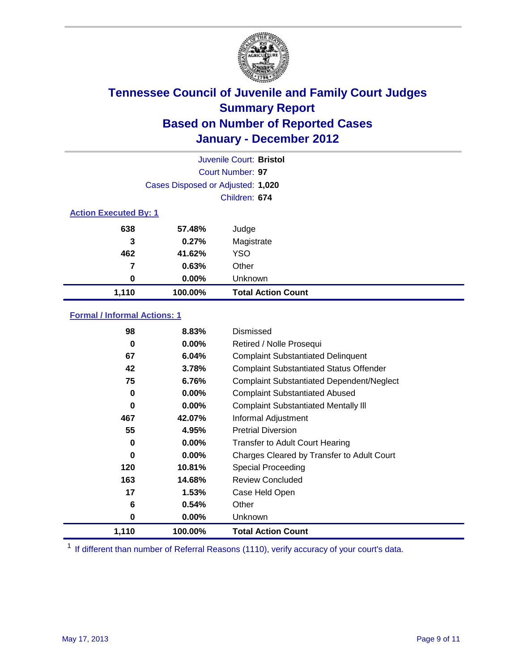

| Juvenile Court: Bristol      |                                   |                           |  |  |
|------------------------------|-----------------------------------|---------------------------|--|--|
|                              | Court Number: 97                  |                           |  |  |
|                              | Cases Disposed or Adjusted: 1,020 |                           |  |  |
|                              | Children: 674                     |                           |  |  |
| <b>Action Executed By: 1</b> |                                   |                           |  |  |
| 638                          | 57.48%                            | Judge                     |  |  |
| 3                            | 0.27%                             | Magistrate                |  |  |
| 462                          | 41.62%                            | <b>YSO</b>                |  |  |
| 7                            | 0.63%                             | Other                     |  |  |
| 0                            | $0.00\%$                          | Unknown                   |  |  |
| 1,110                        | 100.00%                           | <b>Total Action Count</b> |  |  |

### **Formal / Informal Actions: 1**

| 98    | 8.83%    | Dismissed                                        |
|-------|----------|--------------------------------------------------|
| 0     | $0.00\%$ | Retired / Nolle Prosequi                         |
| 67    | 6.04%    | <b>Complaint Substantiated Delinquent</b>        |
| 42    | 3.78%    | <b>Complaint Substantiated Status Offender</b>   |
| 75    | 6.76%    | <b>Complaint Substantiated Dependent/Neglect</b> |
| 0     | $0.00\%$ | <b>Complaint Substantiated Abused</b>            |
| 0     | $0.00\%$ | <b>Complaint Substantiated Mentally III</b>      |
| 467   | 42.07%   | Informal Adjustment                              |
| 55    | 4.95%    | <b>Pretrial Diversion</b>                        |
| 0     | $0.00\%$ | <b>Transfer to Adult Court Hearing</b>           |
| 0     | $0.00\%$ | Charges Cleared by Transfer to Adult Court       |
| 120   | 10.81%   | Special Proceeding                               |
| 163   | 14.68%   | <b>Review Concluded</b>                          |
| 17    | 1.53%    | Case Held Open                                   |
| 6     | 0.54%    | Other                                            |
| 0     | $0.00\%$ | <b>Unknown</b>                                   |
| 1,110 | 100.00%  | <b>Total Action Count</b>                        |

<sup>1</sup> If different than number of Referral Reasons (1110), verify accuracy of your court's data.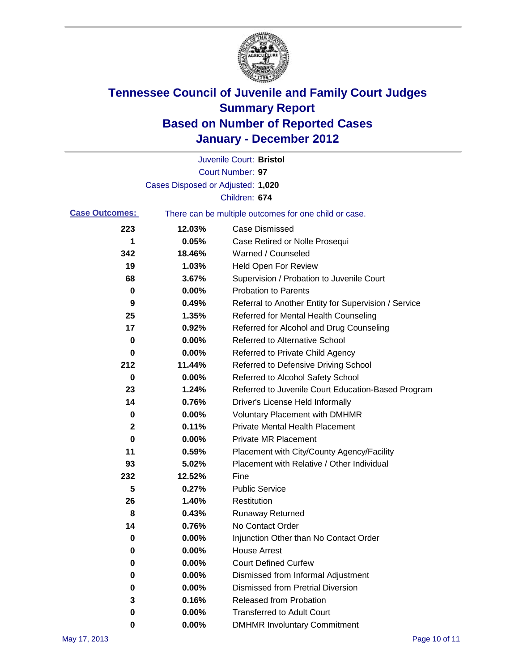

|                       |                                   | Juvenile Court: Bristol                               |
|-----------------------|-----------------------------------|-------------------------------------------------------|
|                       |                                   | Court Number: 97                                      |
|                       | Cases Disposed or Adjusted: 1,020 |                                                       |
|                       |                                   | Children: 674                                         |
| <b>Case Outcomes:</b> |                                   | There can be multiple outcomes for one child or case. |
| 223                   | 12.03%                            | <b>Case Dismissed</b>                                 |
| 1                     | 0.05%                             | Case Retired or Nolle Prosequi                        |
| 342                   | 18.46%                            | Warned / Counseled                                    |
| 19                    | 1.03%                             | <b>Held Open For Review</b>                           |
| 68                    | 3.67%                             | Supervision / Probation to Juvenile Court             |
| 0                     | 0.00%                             | <b>Probation to Parents</b>                           |
| 9                     | 0.49%                             | Referral to Another Entity for Supervision / Service  |
| 25                    | 1.35%                             | Referred for Mental Health Counseling                 |
| 17                    | 0.92%                             | Referred for Alcohol and Drug Counseling              |
| 0                     | 0.00%                             | <b>Referred to Alternative School</b>                 |
| 0                     | 0.00%                             | Referred to Private Child Agency                      |
| 212                   | 11.44%                            | Referred to Defensive Driving School                  |
| 0                     | 0.00%                             | Referred to Alcohol Safety School                     |
| 23                    | 1.24%                             | Referred to Juvenile Court Education-Based Program    |
| 14                    | 0.76%                             | Driver's License Held Informally                      |
| 0                     | 0.00%                             | <b>Voluntary Placement with DMHMR</b>                 |
| 2                     | 0.11%                             | <b>Private Mental Health Placement</b>                |
| 0                     | 0.00%                             | <b>Private MR Placement</b>                           |
| 11                    | 0.59%                             | Placement with City/County Agency/Facility            |
| 93                    | 5.02%                             | Placement with Relative / Other Individual            |
| 232                   | 12.52%                            | Fine                                                  |
| 5                     | 0.27%                             | <b>Public Service</b>                                 |
| 26                    | 1.40%                             | Restitution                                           |
| 8                     | 0.43%                             | <b>Runaway Returned</b>                               |
| 14                    | 0.76%                             | No Contact Order                                      |
| 0                     | 0.00%                             | Injunction Other than No Contact Order                |
| 0                     | 0.00%                             | <b>House Arrest</b>                                   |
| 0                     | 0.00%                             | <b>Court Defined Curfew</b>                           |
| 0                     | 0.00%                             | Dismissed from Informal Adjustment                    |
| 0                     | 0.00%                             | <b>Dismissed from Pretrial Diversion</b>              |
| 3                     | 0.16%                             | Released from Probation                               |
| 0                     | 0.00%                             | <b>Transferred to Adult Court</b>                     |
| 0                     | 0.00%                             | <b>DMHMR Involuntary Commitment</b>                   |